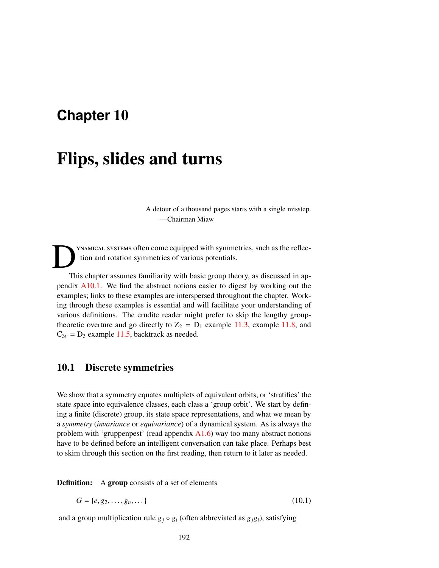# <span id="page-0-0"></span>**Chapter** 10

# Flips, slides and turns

A detour of a thousand pages starts with a single misstep. —Chairman Miaw

D ynamical systems often come equipped with symmetries, such as the reflection and rotation symmetries of various potentials.

This chapter assumes familiarity with basic group theory, as discussed in appendix A10.1. We find the abstract notions easier to digest by working out the examples; links to these examples are interspersed throughout the chapter. Working through these examples is essential and will facilitate your understanding of various definitions. The erudite reader might prefer to skip the lengthy grouptheoretic overture and go directly to  $Z_2 = D_1$  example 11.3, example 11.8, and  $C_{3v} = D_3$  example 11.5, backtrack as needed.

# 10.1 Discrete symmetries

We show that a symmetry equates multiplets of equivalent orbits, or 'stratifies' the state space into equivalence classes, each class a 'group orbit'. We start by defining a finite (discrete) group, its state space representations, and what we mean by a *symmetry* (*invariance* or *equivariance*) of a dynamical system. As is always the problem with 'gruppenpest' (read appendix  $A1.6$ ) way too many abstract notions have to be defined before an intelligent conversation can take place. Perhaps best to skim through this section on the first reading, then return to it later as needed.

**Definition:** A group consists of a set of elements

$$
G = \{e, g_2, \dots, g_n, \dots\}
$$
 (10.1)

and a group multiplication rule  $g_i \circ g_i$  (often abbreviated as  $g_i g_i$ ), satisfying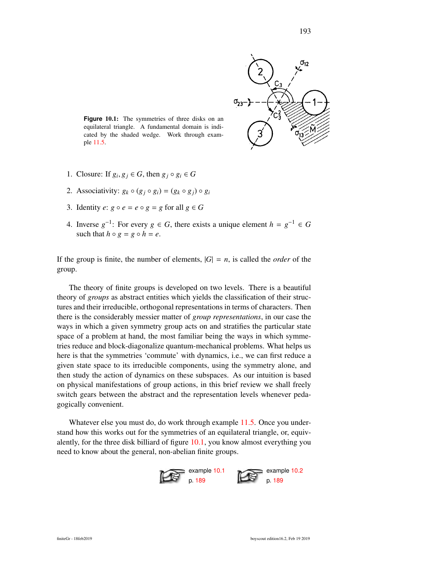

Figure 10.1: The symmetries of three disks on an equilateral triangle. A fundamental domain is indicated by the shaded wedge. Work through example 11.5.

- 1. Closure: If  $g_i, g_j \in G$ , then  $g_j \circ g_i \in G$
- 2. Associativity:  $g_k \circ (g_i \circ g_i) = (g_k \circ g_i) \circ g_i$
- 3. Identity  $e: g \circ e = e \circ g = g$  for all  $g \in G$
- 4. Inverse  $g^{-1}$ : For every  $g \in G$ , there exists a unique element  $h = g^{-1} \in G$ such that  $h \circ g = g \circ h = e$ .

If the group is finite, the number of elements,  $|G| = n$ , is called the *order* of the group.

The theory of finite groups is developed on two levels. There is a beautiful theory of *groups* as abstract entities which yields the classification of their structures and their irreducible, orthogonal representations in terms of characters. Then there is the considerably messier matter of *group representations*, in our case the ways in which a given symmetry group acts on and stratifies the particular state space of a problem at hand, the most familiar being the ways in which symmetries reduce and block-diagonalize quantum-mechanical problems. What helps us here is that the symmetries 'commute' with dynamics, i.e., we can first reduce a given state space to its irreducible components, using the symmetry alone, and then study the action of dynamics on these subspaces. As our intuition is based on physical manifestations of group actions, in this brief review we shall freely switch gears between the abstract and the representation levels whenever pedagogically convenient.

Whatever else you must do, do work through example 11.5. Once you understand how this works out for the symmetries of an equilateral triangle, or, equivalently, for the three disk billiard of figure 10.1, you know almost everything you need to know about the general, non-abelian finite groups.

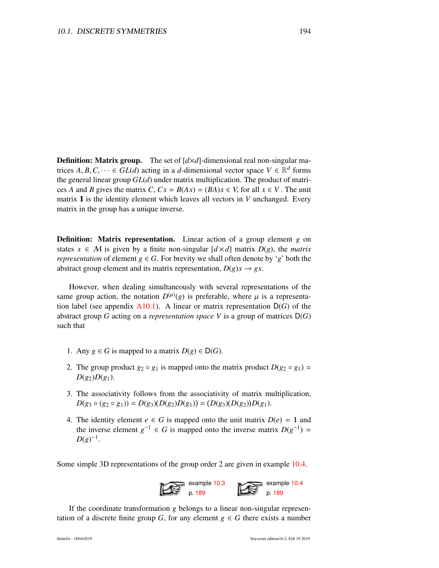**Definition: Matrix group.** The set of  $\left[\frac{d \times d}{d}\right]$ -dimensional real non-singular matrices  $A, B, C, \dots \in GL(d)$  acting in a *d*-dimensional vector space  $V \in \mathbb{R}^d$  forms<br>the general linear group  $GL(d)$  under matrix multiplication. The product of matrithe general linear group *GL*(*d*) under matrix multiplication. The product of matrices *A* and *B* gives the matrix *C*,  $Cx = B(Ax) = (BA)x \in V$ , for all  $x \in V$ . The unit matrix 1 is the identity element which leaves all vectors in *V* unchanged. Every matrix in the group has a unique inverse.

Definition: Matrix representation. Linear action of a group element *g* on states  $x \in M$  is given by a finite non-singular  $\left[ d \times d \right]$  matrix  $D(g)$ , the *matrix representation* of element  $g \in G$ . For brevity we shall often denote by '*g*' both the abstract group element and its matrix representation,  $D(g)x \rightarrow gx$ .

However, when dealing simultaneously with several representations of the same group action, the notation  $D^{(\mu)}(g)$  is preferable, where  $\mu$  is a representa-<br>tion label (see appendix  $\Delta 10, 1$ ). A linear or matrix representation  $D(G)$  of the tion label (see appendix  $A10.1$ ). A linear or matrix representation  $D(G)$  of the abstract group *G* acting on a *representation space V* is a group of matrices D(*G*) such that

- 1. Any *g* ∈ *G* is mapped to a matrix *D*(*g*) ∈ *D*(*G*).
- 2. The group product  $g_2 \circ g_1$  is mapped onto the matrix product  $D(g_2 \circ g_1) =$  $D(g_2)D(g_1)$ .
- 3. The associativity follows from the associativity of matrix multiplication,  $D(g_3 \circ (g_2 \circ g_1)) = D(g_3)(D(g_2)D(g_1)) = (D(g_3)(D(g_2))D(g_1).$
- 4. The identity element  $e \in G$  is mapped onto the unit matrix  $D(e) = 1$  and the inverse element  $g^{-1} \in G$  is mapped onto the inverse matrix  $D(g^{-1}) =$  $D(g)^{-1}$ .

Some simple 3D representations of the group order 2 are given in example 10.4.



If the coordinate transformation *g* belongs to a linear non-singular representation of a discrete finite group *G*, for any element  $g \in G$  there exists a number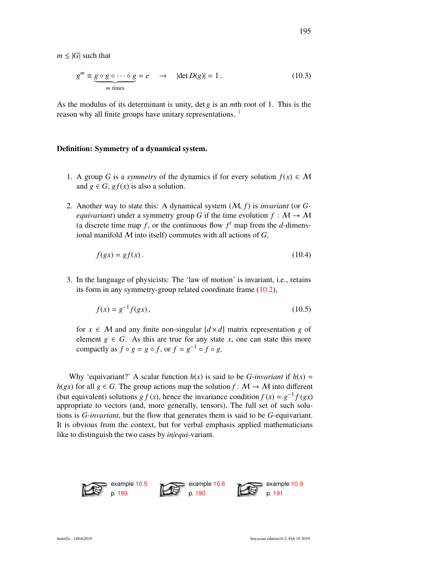$m \leq |G|$  such that

$$
g^{m} \equiv \underbrace{g \circ g \circ \cdots \circ g}_{m \text{ times}} = e \quad \rightarrow \quad |\det D(g)| = 1. \tag{10.3}
$$

As the modulus of its determinant is unity, det *g* is an *m*th root of 1. This is the reason why all finite groups have unitary representations. <sup>1</sup>

#### Definition: Symmetry of a dynamical system.

- 1. A group *G* is a *symmetry* of the dynamics if for every solution  $f(x) \in M$ and  $g \in G$ ,  $gf(x)$  is also a solution.
- 2. Another way to state this: A dynamical system (M, *<sup>f</sup>*) is *invariant* (or *Gequivariant*) under a symmetry group *G* if the time evolution  $f : M \to M$ (a discrete time map  $f$ , or the continuous flow  $f<sup>t</sup>$  map from the *d*-dimensional manifold M into itself) commutes with all actions of *G*,

$$
f(gx) = gf(x). \tag{10.4}
$$

3. In the language of physicists: The 'law of motion' is invariant, i.e., retains its form in any symmetry-group related coordinate frame (10.2),

$$
f(x) = g^{-1} f(gx),
$$
 (10.5)

for  $x \in M$  and any finite non-singular  $\lfloor d \times d \rfloor$  matrix representation g of element  $g \in G$ . As this are true for any state *x*, one can state this more compactly as  $f \circ g = g \circ f$ , or  $f = g^{-1} \circ f \circ g$ .

Why 'equivariant?' A scalar function  $h(x)$  is said to be *G-invariant* if  $h(x)$  =  $h(gx)$  for all  $g \in G$ . The group actions map the solution  $f: M \to M$  into different (but equivalent) solutions *g*  $f(x)$ , hence the invariance condition  $f(x) = g^{-1} f(gx)$ appropriate to vectors (and, more generally, tensors). The full set of such solutions is *G-invariant*, but the flow that generates them is said to be *G*-equivariant. It is obvious from the context, but for verbal emphasis applied mathematicians like to distinguish the two cases by *in*/*equi*-variant.

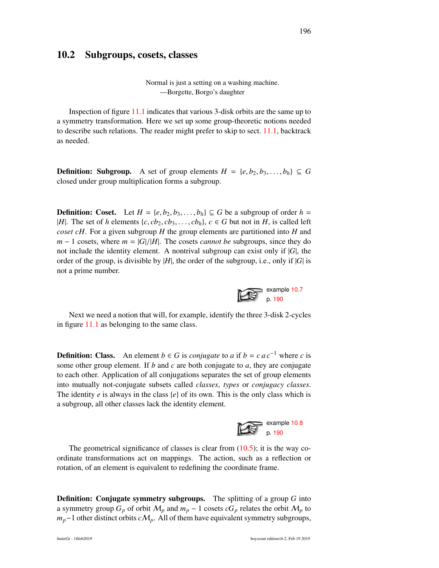### 10.2 Subgroups, cosets, classes

Normal is just a setting on a washing machine. —Borgette, Borgo's daughter

Inspection of figure 11.1 indicates that various 3-disk orbits are the same up to a symmetry transformation. Here we set up some group-theoretic notions needed to describe such relations. The reader might prefer to skip to sect. 11.1, backtrack as needed.

**Definition: Subgroup.** A set of group elements  $H = \{e, b_2, b_3, \ldots, b_h\} \subseteq G$ closed under group multiplication forms a subgroup.

**Definition:** Coset. Let  $H = \{e, b_2, b_3, \ldots, b_h\} \subseteq G$  be a subgroup of order  $h =$ |*H*|. The set of *h* elements  $\{c, cb_2, cb_3, \ldots, cb_h\}$ ,  $c \in G$  but not in *H*, is called left *coset cH*. For a given subgroup *H* the group elements are partitioned into *H* and  $m - 1$  cosets, where  $m = |G|/|H|$ . The cosets *cannot be* subgroups, since they do not include the identity element. A nontrival subgroup can exist only if |*G*|, the order of the group, is divisible by |*H*|, the order of the subgroup, i.e., only if |*G*| is not a prime number.

Next we need a notion that will, for example, identify the three 3-disk 2-cycles in figure 11.1 as belonging to the same class.

**Definition: Class.** An element *b*  $\in$  *G* is *conjugate* to *a* if *b* = *c* a *c*<sup>−1</sup> where *c* is some other group element. If *b* and *c* are both conjugate to *a*, they are conjugate to each other. Application of all conjugations separates the set of group elements into mutually not-conjugate subsets called *classes*, *types* or *conjugacy classes*. The identity *e* is always in the class {*e*} of its own. This is the only class which is a subgroup, all other classes lack the identity element.



The geometrical significance of classes is clear from  $(10.5)$ ; it is the way coordinate transformations act on mappings. The action, such as a reflection or rotation, of an element is equivalent to redefining the coordinate frame.

Definition: Conjugate symmetry subgroups. The splitting of a group *G* into a symmetry group  $G_p$  of orbit  $M_p$  and  $m_p - 1$  cosets  $cG_p$  relates the orbit  $M_p$  to *m*<sub>*p*</sub>−1 other distinct orbits *cM<sub>p</sub>*. All of them have equivalent symmetry subgroups,

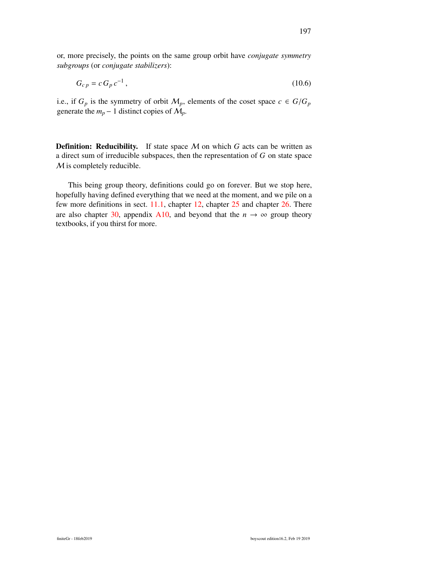or, more precisely, the points on the same group orbit have *conjugate symmetry subgroups* (or *conjugate stabilizers*):

$$
G_{cp} = c G_p c^{-1},
$$
\n(10.6)

i.e., if  $G_p$  is the symmetry of orbit  $\mathcal{M}_p$ , elements of the coset space  $c \in G/G_p$ generate the  $m_p - 1$  distinct copies of  $M_p$ .

**Definition: Reducibility.** If state space  $M$  on which  $G$  acts can be written as a direct sum of irreducible subspaces, then the representation of *G* on state space M is completely reducible.

This being group theory, definitions could go on forever. But we stop here, hopefully having defined everything that we need at the moment, and we pile on a few more definitions in sect. 11.1, chapter 12, chapter 25 and chapter 26. There are also chapter 30, appendix A10, and beyond that the  $n \to \infty$  group theory textbooks, if you thirst for more.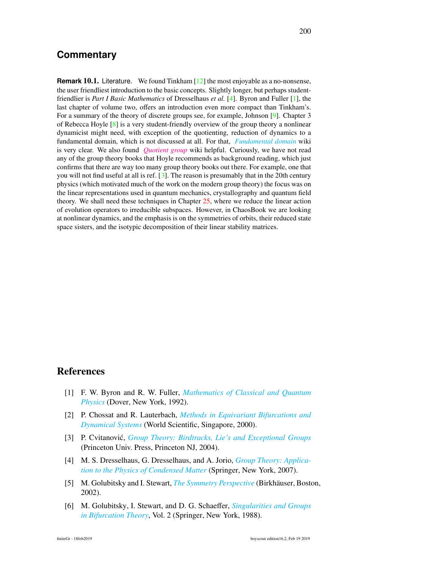## **Commentary**

**Remark 10.1.** Literature. We found Tinkham [12] the most enjoyable as a no-nonsense, the user friendliest introduction to the basic concepts. Slightly longer, but perhaps studentfriendlier is *Part I Basic Mathematics* of Dresselhaus *et al.* [4]. Byron and Fuller [1], the last chapter of volume two, offers an introduction even more compact than Tinkham's. For a summary of the theory of discrete groups see, for example, Johnson [9]. Chapter 3 of Rebecca Hoyle  $\lceil 8 \rceil$  is a very student-friendly overview of the group theory a nonlinear dynamicist might need, with exception of the quotienting, reduction of dynamics to a fundamental domain, which is not discussed at all. For that, *[Fundamental](https://en.wikipedia.org/wiki/Fundamental_domain) domain* wiki is very clear. We also found *[Quotient](#page-0-0) group* wiki helpful. Curiously, we have not read any of the group theory books that Hoyle recommends as background reading, which just confirms that there are way too many group theory books out there. For example, one that you will not find useful at all is ref.  $\lceil 3 \rceil$ . The reason is presumably that in the 20th century physics (which motivated much of the work on the modern group theory) the focus was on the linear representations used in quantum mechanics, crystallography and quantum field theory. We shall need these techniques in Chapter 25, where we reduce the linear action of evolution operators to irreducible subspaces. However, in ChaosBook we are looking at nonlinear dynamics, and the emphasis is on the symmetries of orbits, their reduced state space sisters, and the isotypic decomposition of their linear stability matrices.

## References

- [1] F. W. Byron and R. W. Fuller, *[Mathematics of Classical and Quantum](http://books.google.com/books?vid=ISBN9780486671642) [Physics](http://books.google.com/books?vid=ISBN9780486671642)* (Dover, New York, 1992).
- [2] P. Chossat and R. Lauterbach, *[Methods in Equivariant Bifurcations and](http://dx.doi.org/10.1142/4062) [Dynamical Systems](http://dx.doi.org/10.1142/4062)* (World Scientific, Singapore, 2000).
- [3] P. Cvitanovic,´ *[Group Theory: Birdtracks, Lie's and Exceptional Groups](https://press.princeton.edu/titles/8839.html)* (Princeton Univ. Press, Princeton NJ, 2004).
- [4] M. S. Dresselhaus, G. Dresselhaus, and A. Jorio, *[Group Theory: Applica](http://dx.doi.org/10.1007/978-3-540-32899-5)[tion to the Physics of Condensed Matter](http://dx.doi.org/10.1007/978-3-540-32899-5)* (Springer, New York, 2007).
- [5] M. Golubitsky and I. Stewart, *[The Symmetry Perspective](http://dx.doi.org/10.1007/978-3-0348-8167-8)* (Birkhäuser, Boston, 2002).
- [6] M. Golubitsky, I. Stewart, and D. G. Schaeffer, *[Singularities and Groups](http://dx.doi.org/10.1007/978-1-4612-4574-2) [in Bifurcation Theory](http://dx.doi.org/10.1007/978-1-4612-4574-2)*, Vol. 2 (Springer, New York, 1988).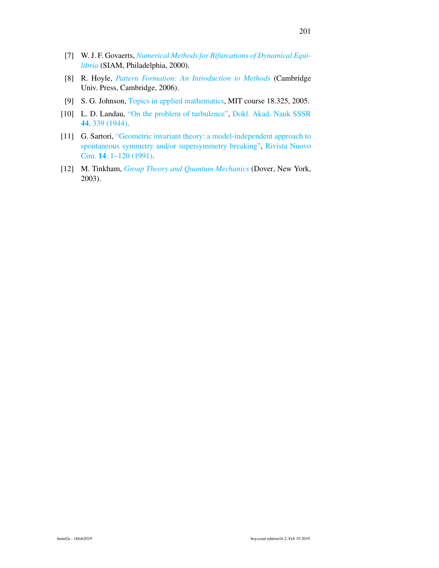- [7] W. J. F. Govaerts, *[Numerical Methods for Bifurcations of Dynamical Equi](http://dx.doi.org/10.1137/1.9780898719543)[libria](http://dx.doi.org/10.1137/1.9780898719543)* (SIAM, Philadelphia, 2000).
- [8] R. Hoyle, *[Pattern Formation: An Introduction to Methods](http://dx.doi.org/10.1017/cbo9780511616051)* (Cambridge Univ. Press, Cambridge, 2006).
- [9] S. G. Johnson, [Topics in applied mathematics,](http://math.mit.edu/~stevenj/18.325/representation-theory.pdf) MIT course 18.325, 2005.
- [10] L. D. Landau, ["On the problem of turbulence",](http://dx.doi.org/10.1016/b978-0-08-010586-4.50057-2) [Dokl. Akad. Nauk SSSR](http://dx.doi.org/10.1016/b978-0-08-010586-4.50057-2) 44[, 339 \(1944\).](http://dx.doi.org/10.1016/b978-0-08-010586-4.50057-2)
- [11] G. Sartori, ["Geometric invariant theory: a model-independent approach to](http://dx.doi.org/10.1007/BF02810048) spontaneous symmetry and/[or supersymmetry breaking",](http://dx.doi.org/10.1007/BF02810048) [Rivista Nuovo](http://dx.doi.org/10.1007/BF02810048) Cim. 14[, 1–120 \(1991\).](http://dx.doi.org/10.1007/BF02810048)
- [12] M. Tinkham, *[Group Theory and Quantum Mechanics](http://dx.doi.org/10.1016/c2013-0-01646-5)* (Dover, New York, 2003).